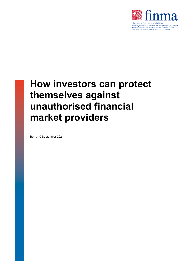

# **How investors can protect themselves against unauthorised financial market providers**

Bern, 10 September 2021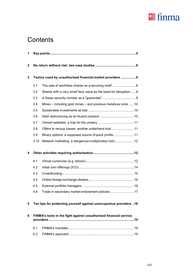

# **Contents**

| 1            |                                                                   |                                                                    |  |
|--------------|-------------------------------------------------------------------|--------------------------------------------------------------------|--|
| $\mathbf{2}$ |                                                                   |                                                                    |  |
| 3            | Tactics used by unauthorised financial market providers 8         |                                                                    |  |
|              | 3.1                                                               |                                                                    |  |
|              | 3.2                                                               | Shares with a very small face value as the basis for deception  9  |  |
|              | 3.3                                                               |                                                                    |  |
|              | 3.4                                                               | Mines - including gold mines - and precious metals as lures 10     |  |
|              | 3.5                                                               |                                                                    |  |
|              | 3.6                                                               |                                                                    |  |
|              | 3.7                                                               |                                                                    |  |
|              | 3.8                                                               | Offers to recoup losses: another underhand trick 11                |  |
|              | 3.9                                                               | Binary options: a supposed source of quick profits11               |  |
|              | 3.10                                                              | Network marketing: a dangerous multiplication tool12               |  |
| 4            |                                                                   |                                                                    |  |
|              | 4.1                                                               |                                                                    |  |
|              | 4.2                                                               |                                                                    |  |
|              | 4.3                                                               |                                                                    |  |
|              | 4.4                                                               |                                                                    |  |
|              | 4.5                                                               |                                                                    |  |
|              | 4.6                                                               | Trade in secondary market endowment policies 17                    |  |
| 5            |                                                                   | Ten tips for protecting yourself against unscrupulous providers 18 |  |
| 6            | FINMA's tools in the fight against unauthorised financial service |                                                                    |  |
|              | 6.1                                                               |                                                                    |  |
|              | 6.2                                                               |                                                                    |  |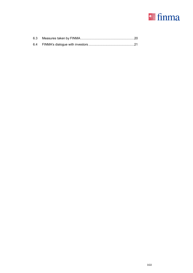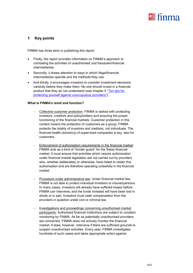

# <span id="page-3-0"></span>**1 Key points**

FINMA has three aims in publishing this report:

- Firstly, the report provides information on FINMA's approach to combating the activities of unauthorised und fraudulentfinancial intermediaries.
- Secondly, it draws attention to ways in which illegalfinancial intermediaries operate and the methods they use.
- And thirdly, it encourages investors to consider investment decisions carefully before they make them. No one should invest in a financial product that they do not understand (see chapter 5 ["Ten tips for](#page-17-0) [protecting yourself against unscrupulous](#page-17-0) providers").

#### **What is FINMA's remit and function?**

- Collective customer protection: FINMA is tasked with protecting investors, creditors and policyholders and ensuring the proper functioning of the financial markets. Customer protection in this context means the protection of customers as a group: FINMA protects the totality of investors and creditors, not individuals. The financial health (solvency) of supervised companies is key, also for customers.
- Enforcement of authorisation requirements in the financial market: FINMA acts as a kind of "border guard" for the Swiss financial market. It must ensure that activities which require authorisation under financial market legislation are not carried out by providers who, whether deliberately or otherwise, have failed to obtain this authorisation and are therefore operating unlawfully in the financial market.
- Procedure under administrative law: Under financial market law, FINMA is not able to protect individual investors or insuredpersons. In many cases, investors will already have suffered losses before FINMA can intervene, and the funds invested will have been lost in whole or in part. Investors must seek compensation from the providers in question under civil or criminal law.
- Investigations and proceedings concerning unauthorised market participants: Authorised financial institutions are subject to constant monitoring by FINMA. As far as potentially unauthorised providers are concerned, FINMA does not actively monitor the financial market. It does, however, intervene if there are sufficient grounds to suspect unauthorised activities. Every year, FINMA investigates hundreds of such cases and takes appropriate action against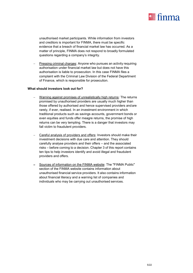

unauthorised market participants. While information from investors and creditors is important for FINMA, there must be specific evidence that a breach of financial market law has occurred. As a matter of principle, FINMA does not respond to broadly formulated questions regarding a company's integrity.

 Pressing criminal charges: Anyone who pursues an activity requiring authorisation under financial market law but does not have this authorisation is liable to prosecution. In this case FINMA files a complaint with the Criminal Law Division of the Federal Department of Finance, which is responsible for prosecution.

#### **What should investors look out for?**

- Warning against promises of unrealistically high returns: The returns promised by unauthorised providers are usually much higher than those offered by authorised and hence supervised providers andare rarely, if ever, realised. In an investment environment in which traditional products such as savings accounts, government bonds or even equities and funds offer meagre returns, the promise of high returns can be very tempting. There is a danger that investors may fall victim to fraudulent providers.
- Careful analysis of providers and offers: Investors should make their investment decisions with due care and attention. They should carefully analyse providers and their offers – and the associated risks – before coming to a decision. Chapter 3 of this report contains ten tips to help investors identify and avoid illegal and fraudulent providers and offers.
- Sources of information on the FINMA website: The "FINMA Public" section of the FINMA website contains information about unauthorised financial service providers. It also contains information about financial literacy and a warning list of companies and individuals who may be carrying out unauthorised services.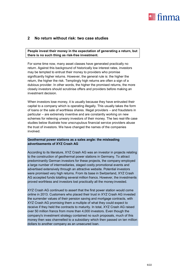

# <span id="page-5-0"></span>**2 No return without risk: two case studies**

**People invest their money in the expectation of generating a return, but there is no such thing as risk-free investment.**

For some time now, many asset classes have generated practically no return. Against this background of historically low interest rates, investors may be tempted to entrust their money to providers who promise significantly higher returns. However, the general rule is: the higher the return, the higher the risk. Temptingly high returns are often a sign of a dubious provider. In other words, the higher the promised returns, the more closely investors should scrutinise offers and providers before making an investment decision.

When investors lose money, it is usually because they have entrusted their capital to a company which is operating illegally. This usually takes the form of loans or the sale of worthless shares. Illegal providers – and fraudsters in particular – are extremely inventive and are constantly working on new schemes for relieving unwary investors of their money. The two real-life case studies below illustrate how unscrupulous financial service providers abuse the trust of investors. We have changed the names of the companies involved.

#### **Geothermal power stations as a sales angle: the misleading advertisements of XYZ Crash AG**

According to its literature, XYZ Crash AG was an investor in projects relating to the construction of geothermal power stations in Germany. To attract predominantly German investors for these projects, the company employed a large number of intermediaries, staged costly promotional events and advertised extensively through an attractive website. Potential investors were promised very high returns. From its base in Switzerland, XYZ Crash AG accepted funds totalling several million francs. However, the investments proved worthless and investors lost practically all the money invested.

XYZ Crash AG continued to assert that the first power station would come online in 2013. Customers who placed their trust in XYZ Crash AG invested the surrender values of their pension saving and mortgage contracts, with XYZ Crash AG promising them a multiple of what they could expect to receive if they held the contracts to maturity. In total, XYZ Crash AG raised over 50 million francs from more than 4,000 investors. Even though the company's investment strategy contained no such proposals, much of this money then was channelled to a subsidiary which then passed on ten million dollars to another company as an unsecured loan.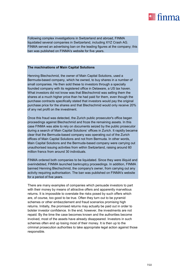

Following complex investigations in Switzerland and abroad, FINMA liquidated several companies in Switzerland, including XYZ Crash AG. FINMA served an advertising ban on the leading figures at the company; this ban was published on FINMA's website for five years.

#### **The machinations of Main Capital Solutions**

Henning Blechschmid, the owner of Main Capital Solutions, used a Bermuda-based company, which he owned, to buy shares in a number of small companies. He then sold these to investors through a specially founded company with its registered office in Delaware, a US tax haven. What investors did not know was that Blechschmid was selling them the shares at a much higher price than he had paid for them, even though the purchase contracts specifically stated that investors would pay the original purchase price for the shares and that Blechschmid would only receive 20% of any net profit on the investment.

Once this fraud was detected, the Zurich public prosecutor's office began proceedings against Blechschmid and froze the remaining assets. In this case FINMA was able to rely on documents seized by the public prosecutor during a search of Main Capital Solutions' offices in Zurich. It rapidly became clear that the Bermuda-based company was operating out of the Zurich offices of Main Capital Solutions and not from Bermuda. In other words, Main Capital Solutions and the Bermuda-based company were carrying out unauthorised issuing activities from within Switzerland, raising around 60 million francs from around 30 individuals.

FINMA ordered both companies to be liquidated. Since they were illiquid and overindebted, FINMA launched bankruptcy proceedings. In addition, FINMA banned Henning Blechschmid, the company's owner, from carrying out any activity requiring authorisation. The ban was published on FINMA's website for a period of five years.

There are many examples of companies which persuade investors to part with their money by means of attractive offers and apparently marvellous returns. It is impossible to overstate the risks posed by such offers which are, of course, too good to be true. Often they turn out to be pyramid schemes or other embezzlement and fraud scenarios promising high returns. Initially, the promised returns may actually be paid out in order to bolster investor confidence. In the end, however, the investments are not repaid. By the time the case becomes known and the authorities become involved, most of the assets have already disappeared. Investors in such schemes often end up losing most of their money. It is then up to the criminal prosecution authorities to take appropriate legal action against those responsible.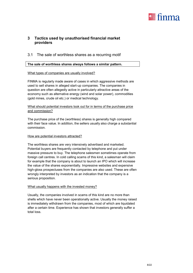

# <span id="page-7-0"></span>**3 Tactics used by unauthorised financial market providers**

# <span id="page-7-1"></span>3.1 The sale of worthless shares as a recurring motif

#### **The sale of worthless shares always follows a similar pattern.**

#### What types of companies are usually involved?

FINMA is regularly made aware of cases in which aggressive methods are used to sell shares in alleged start-up companies. The companies in question are often allegedly active in particularly attractive areas of the economy such as alternative energy (wind and solar power), commodities (gold mines, crude oil etc.) or medical technology.

# What should potential investors look out for in terms of the purchase price and commission?

The purchase price of the (worthless) shares is generally high compared with their face value. In addition, the sellers usually also charge a substantial commission.

#### How are potential investors attracted?

The worthless shares are very intensively advertised and marketed. Potential buyers are frequently contacted by telephone and put under massive pressure to buy. The telephone salesmen sometimes operate from foreign call centres. In cold calling scams of this kind, a salesman will claim for example that the company is about to launch an IPO which will increase the value of the shares exponentially. Impressive websites and expensive high-gloss prospectuses from the companies are also used. These are often wrongly interpreted by investors as an indication that the company is a serious proposition.

# What usually happens with the invested money?

Usually, the companies involved in scams of this kind are no more than shells which have never been operationally active. Usually the money raised is immediately withdrawn from the companies, most of which are liquidated after a certain time. Experience has shown that investors generally suffer a total loss.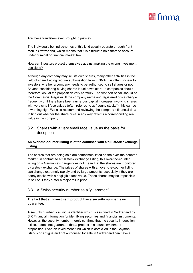

#### Are these fraudsters ever brought to justice?

The individuals behind schemes of this kind usually operate through front men in Switzerland, which means that it is difficult to hold them to account under criminal or financial market law.

# How can investors protect themselves against making the wrong investment decisions?

Although any company may sell its own shares, many other activities in the field of share trading require authorisation from FINMA. It is often unclear to investors whether a company needs to be authorised to sell shares or not. Anyone considering buying shares in unknown start-up companies should therefore look at the proposition very carefully. The first port of call should be the Commercial Register. If the company name and registered office change frequently or if there have been numerous capital increases involving shares with very small face values (often referred to as "penny stocks"), this can be a warning sign. We also recommend reviewing the company's financial data to find out whether the share price in any way reflects a corresponding real value in the company.

# <span id="page-8-0"></span>3.2 Shares with a very small face value as the basis for deception

# **An over-the-counter listing is often confused with a full stock exchange listing.**

The shares that are being sold are sometimes listed on the over-the-counter market. In contrast to a full stock exchange listing, this over-the-counter listing on a German exchange does not mean that the shares are monitored by a stock exchange. The prices of shares with an over-the-counter listing can change extremely rapidly and by large amounts, especially if they are penny stocks with a negligible face value. These shares may be impossible to sell on if they suffer a major fall in price.

# <span id="page-8-1"></span>3.3 A Swiss security number as a "guarantee"

# **The fact that an investment product has a security number is no guarantee.**

A security number is a unique identifier which is assigned in Switzerland by SIX Financial Information for identifying securities and financial instruments. However, the security number merely confirms that the security in question exists. It does not guarantee that a product is a sound investment proposition. Even an investment fund which is domiciled in the Cayman Islands or Antigua and not authorised for sale in Switzerland can have a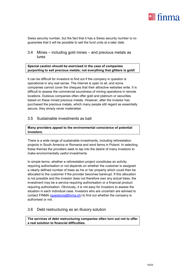

Swiss security number, but the fact that it has a Swiss security number is no guarantee that it will be possible to sell the fund units at a later date.

# <span id="page-9-0"></span>3.4 Mines – including gold mines – and precious metals as lures

# **Special caution should be exercised in the case of companies purporting to sell precious metals; not everything that glitters is gold!**

It can be difficult for investors to find out if the company in question is operational in any real sense. The internet is open to all, and some companies cannot cover the cheques that their attractive websites write. It is difficult to assess the commercial soundness of mining operations in remote locations. Dubious companies often offer gold and platinum or securities based on these mined precious metals. However, after the investor has purchased the precious metals, which many people still regard as essentially secure, they simply never materialise.

# <span id="page-9-1"></span>3.5 Sustainable investments as bait

# **Many providers appeal to the environmental conscience of potential investors.**

There is a wide range of sustainable investments, including reforestation projects in South America or Romania and wind farms in Poland. In selecting these themes the providers seek to tap into the desire of many investors to make environmentally useful investments.

In simple terms, whether a reforestation project constitutes an activity requiring authorisation or not depends on whether the customer is assigned a clearly defined number of trees as his or her property which could then be allocated to the customer if the provider becomes bankrupt. If this allocation is not possible and the investor does not therefore own any actual trees, the investment may be a service requiring authorisation or a financial product requiring authorisation. Obviously, it is not easy for investors to assess the situation in each individual case. Investors who are uncertain are advised to contact FINMA [\(questions@finma.ch\)](mailto:questions@finma.ch) to find out whether the company is authorised or not.

# <span id="page-9-2"></span>3.6 Debt restructuring as an illusory solution

**The services of debt restructuring companies often turn out not to offer a real solution to financial difficulties.**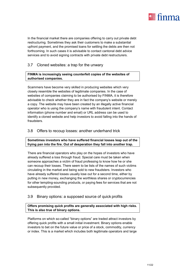

In the financial market there are companies offering to carry out private debt restructuring. Sometimes they ask their customers to make a substantial upfront payment, and the promised loans for settling the debts are then not forthcoming. In such cases it is advisable to contact cantonal debt advice services and to avoid signing contracts with private debt restructurers.

# <span id="page-10-0"></span>3.7 Cloned websites: a trap for the unwary

# **FINMA is increasingly seeing counterfeit copies of the websites of authorised companies.**

Scammers have become very skilled in producing websites which very closely resemble the websites of legitimate companies. In the case of websites of companies claiming to be authorised by FINMA, it is therefore advisable to check whether they are in fact the company's website or merely a copy. The website may have been created by an illegally active financial operator who is using the company's name with fraudulent intent. Contact information (phone number and email) or URL address can be used to identify a cloned website and help investors to avoid falling into the hands of fraudsters.

# <span id="page-10-1"></span>3.8 Offers to recoup losses: another underhand trick

# **Sometimes investors who have suffered financial losses leap out of the frying pan into the fire. Out of desperation they fall into another trap.**

There are financial operators who play on the hopes of investors who have already suffered a loss through fraud. Special care must be taken when someone approaches a victim of fraud professing to know how he or she can recoup their losses. There seem to be lists of the names of such victims circulating in the market and being sold to new fraudsters. Investors who have already suffered losses usually lose out for a second time, either by putting in new money, exchanging the worthless shares or cryptocurrencies for other tempting-sounding products, or paying fees for services that are not subsequently provided.

# <span id="page-10-2"></span>3.9 Binary options: a supposed source of quick profits

# **Offers promising quick profits are generally associated with high risks. This is also true of binary options.**

Platforms on which so-called "binary options" are traded attract investors by offering quick profits with a small initial investment. Binary options enable investors to bet on the future value or price of a stock, commodity, currency or index. This is a market which includes both legitimate operators and large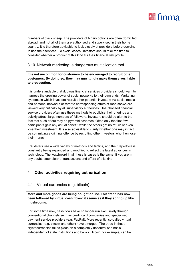

numbers of black sheep. The providers of binary options are often domiciled abroad, and not all of them are authorised and supervised in their home country. It is therefore advisable to look closely at providers before deciding to use their services. To avoid losses, investors should take the time to consider whether a product of this kind fits their financial risk profile.

# <span id="page-11-0"></span>3.10 Network marketing: a dangerous multiplication tool

**It is not uncommon for customers to be encouraged to recruit other customers. By doing so, they may unwittingly make themselves liable to prosecution.**

It is understandable that dubious financial services providers should want to harness the growing power of social networks to their own ends. Marketing systems in which investors recruit other potential investors via social media and personal networks or refer to corresponding offers at road shows are viewed very critically by all supervisory authorities. Unauthorised financial service providers often use these methods to publicise their offerings and quickly attract large numbers of followers. Investors should be alert to the fact that such offers may be pyramid schemes. Often only the first few participants gain any actual benefit, while the others get no return or even lose their investment. It is also advisable to clarify whether one may in fact be committing a criminal offence by recruiting other investors who then lose their money

Fraudsters use a wide variety of methods and tactics, and their repertoire is constantly being expanded and modified to reflect the latest advances in technology. The watchword in all these is cases is the same: If you are in any doubt, steer clear of transactions and offers of this kind.

# <span id="page-11-1"></span>**4 Other activities requiring authorisation**

# <span id="page-11-2"></span>4.1 Virtual currencies (e.g. bitcoin)

**More and more goods are being bought online. This trend has now been followed by virtual cash flows: it seems as if they spring up like mushrooms.**

For some time now, cash flows have no longer run exclusively through conventional channels such as credit card companies and specialised payment service providers (e.g. PayPal). More recently, so-called virtual currencies (e.g. bitcoin and ether) have emerged. The trade in these cryptocurrencies takes place on a completely decentralised basis, independent of state institutions and banks. Bitcoin, for example, can be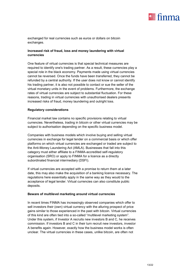

exchanged for real currencies such as euros or dollars on bitcoin exchanges.

# **Increased risk of fraud, loss and money laundering with virtual currencies**

One feature of virtual currencies is that special technical measures are required to identify one's trading partner. As a result, these currencies play a special role in the black economy. Payments made using virtual currencies cannot be reversed. Once the funds have been transferred, they cannot be refunded by a central authority. If the user does not know or cannot identify his trading partner, it is also not possible to contact or sue the seller of the virtual monetary units in the event of problems. Furthermore, the exchange rates of virtual currencies are subject to substantial fluctuation. For these reasons, trading in virtual currencies with unauthorised dealers presents increased risks of fraud, money laundering and outright loss.

#### **Regulatory considerations**

Financial market law contains no specific provisions relating to virtual currencies. Nevertheless, trading in bitcoin or other virtual currencies may be subject to authorisation depending on the specific business model.

Companies with business models which involve buying and selling virtual currencies in exchange for legal tender on a commercial basis or which offer platforms on which virtual currencies are exchanged or traded are subject to the Anti-Money Laundering Act (AMLA). Businesses that fall into this category must either affiliate to a FINMA-accredited self-regulatory organisation (SRO) or apply to FINMA for a licence as a directly subordinated financial intermediary (DSFI).

If virtual currencies are accepted with a promise to return them at a later date, this may also make the acquisition of a banking licence necessary. The regulations here essentially apply in the same way as they would to the acceptance of legal tender. Virtual currencies can also constitute public deposits.

#### **Beware of multilevel marketing around virtual currencies**

In recent times FINMA has increasingly observed companies which offer to sell investors their (own) virtual currency with the alluring prospect of price gains similar to those experienced in the past with bitcoin. Virtual currencies of this kind are often tied into a so-called "multilevel marketing system". Under this system, if Investor A recruits new investors B and C, he receives commission. If investors B and C in their turn recruit new investors, investor A benefits again. However, exactly how the business model works is often unclear. The virtual currencies in these cases, unlike bitcoin, are often not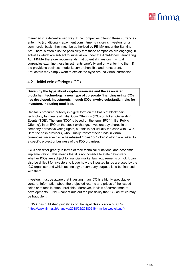

managed in a decentralised way. If the companies offering these currencies enter into (conditional) repayment commitments vis-à-vis investors on a commercial basis, they must be authorised by FINMA under the Banking Act. There is often also the possibility that these companies are engaging in activities which are subject to supervision under the Anti-Money Laundering Act. FINMA therefore recommends that potential investors in virtual currencies examine these investments carefully and only enter into them if the provider's business model is comprehensible and transparent. Fraudsters may simply want to exploit the hype around virtual currencies.

# <span id="page-13-0"></span>4.2 Initial coin offerings (ICO)

**Driven by the hype about cryptocurrencies and the associated blockchain technology, a new type of corporate financing using ICOs has developed. Investments in such ICOs involve substantial risks for investors, including total loss.**

Capital is procured publicly in digital form on the basis of blockchain technology by means of Initial Coin Offerings (ICO) or Token Generating Events (TGE). The term "ICO" is based on the term "IPO" (Initial Public Offering). In an IPO on the stock exchange, investors buy shares in a company or receive voting rights, but this is not usually the case with ICOs. Here the cash providers, who usually transfer their funds in virtual currencies, receive blockchain-based "coins" or "tokens" which are linked to a specific project or business of the ICO organiser.

ICOs can differ greatly in terms of their technical, functional and economic implementation. This means that it is not possible to state definitively whether ICOs are subject to financial market law requirements or not. It can also be difficult for investors to judge how the invested funds are used by the ICO organiser and which technology or company purpose is to be financed with them.

Investors must be aware that investing in an ICO is a highly speculative venture. Information about the projected returns and prices of the issued coins or tokens is often unreliable. Moreover, in view of current market developments, FINMA cannot rule out the possibility that ICO activities may be fraudulent.

FINMA has published guidelines on the legal classification of ICOs [\(https://www.finma.ch/en/news/2018/02/20180216-mm-ico-wegleitung/\)](https://www.finma.ch/en/news/2018/02/20180216-mm-ico-wegleitung/).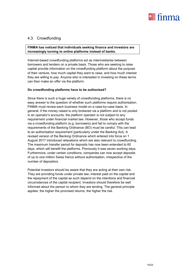

# <span id="page-14-0"></span>4.3 Crowdfunding

# **FINMA has noticed that individuals seeking finance and investors are increasingly turning to online platforms instead of banks.**

Internet-based crowdfunding platforms act as intermediaries between borrowers and lenders on a private basis. Those who are seeking to raise capital provide information on the crowdfunding platform about the purpose of their venture, how much capital they want to raise, and how much interest they are willing to pay. Anyone who is interested in investing on these terms can then make an offer via the platform.

# **Do crowdfunding platforms have to be authorised?**

Since there is such a huge variety of crowdfunding platforms, there is no easy answer to the question of whether such platforms require authorisation. FINMA must review each business model on a case-by-case basis. In general, if the money raised is only brokered via a platform and is not pooled in an operator's accounts, the platform operator is not subject to any requirement under financial market law. However, those who accept funds via a crowdfunding platform (e.g. borrowers) and fail to comply with the requirements of the Banking Ordinance (BO) must be careful. This can lead to an authorisation requirement (particularly under the Banking Act). A revised version of the Banking Ordinance which entered into force on 1 August 2017 introduced relaxations which are also relevant to crowdfunding. The maximum transfer period for deposits has now been extended to 60 days, which will benefit the platforms. Previously it was seven working days. Furthermore, under certain conditions, companies can now accept deposits of up to one million Swiss francs without authorisation, irrespective of the number of depositors.

Potential investors should be aware that they are acting at their own risk. They are providing funds under private law; interest paid on the capital and the repayment of the capital as such depend on the intentions and financial circumstances of the capital recipient. Investors should therefore be well informed about the person to whom they are lending. The general principle applies: the higher the promised returns, the higher the risk.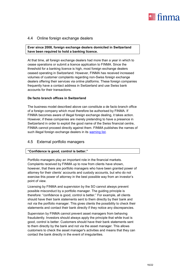

# <span id="page-15-0"></span>4.4 Online foreign exchange dealers

**Ever since 2008, foreign exchange dealers domiciled in Switzerland have been required to hold a banking licence.**

At that time, all foreign exchange dealers had more than a year in which to cease operations or submit a licence application to FINMA. Since the threshold for a banking licence is high, most foreign exchange dealers ceased operating in Switzerland. However, FINMA has received increased volumes of customer complaints regarding non-Swiss foreign exchange dealers offering their services via online platforms. These foreign companies frequently have a contact address in Switzerland and use Swiss bank accounts for their transactions.

#### **De facto branch offices in Switzerland**

The business model described above can constitute a de facto branch office of a foreign company which must therefore be authorised by FINMA. If FINMA becomes aware of illegal foreign exchange dealing, it takes action. However, if these companies are merely pretending to have a presence in Switzerland in order to exploit the good name of the Swiss financial centre, FINMA cannot proceed directly against them. FINMA publishes the names of such illegal foreign exchange dealers in its [warning list.](https://www.finma.ch/en/finma-public/warnliste/)

# <span id="page-15-1"></span>4.5 External portfolio managers

# **"Confidence is good, control is better."**

Portfolio managers play an important role in the financial markets. Complaints received by FINMA up to now from clients have shown, however, that there are portfolio managers who have been granted power of attorney for their clients' accounts and custody accounts, but who do not exercise this power of attorney in the best possible way from an investor's point of view.

Licensing by FINMA and supervision by the SO cannot always prevent possible misconduct by a portfolio manager. The guiding principle is therefore: "confidence is good, control is better." For example, all clients should have their bank statements sent to them directly by their bank and not via the portfolio manager. This gives clients the possibility to check their statements and contact their bank directly if they notice any discrepancies.

Supervision by FINMA cannot prevent asset managers from behaving fraudulently. Investors should always apply the principle that while trust is good, control is better. Customers should have their bank statements sent to them directly by the bank and not via the asset manager. This allows customers to check the asset manager's activities and means that they can contact the bank directly in the event of irregularities.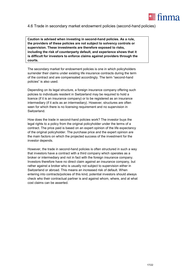

# 4.6 Trade in secondary market endowment policies (second-hand policies)

**Caution is advised when investing in second-hand policies. As a rule, the providers of these policies are not subject to solvency controls or supervision. These investments are therefore exposed to risks, including the risk of counterparty default, and experience shows that it is difficult for investors to enforce claims against providers through the courts.**

The secondary market for endowment policies is one in which policyholders surrender their claims under existing life insurance contracts during the term of the contract and are compensated accordingly. The term "second-hand policies" is also used.

Depending on its legal structure, a foreign insurance company offering such policies to individuals resident in Switzerland may be required to hold a licence (if it is an insurance company) or to be registered as an insurance intermediary (if it acts as an intermediary). However, structures are often seen for which there is no licensing requirement and no supervision in Switzerland.

How does the trade in second-hand policies work? The investor buys the legal rights to a policy from the original policyholder under the terms of a contract. The price paid is based on an expert opinion of the life expectancy of the original policyholder. The purchase price and the expert opinion are the main factors on which the projected success of the investment for the investor depends.

However, the trade in second-hand policies is often structured in such a way that investors have a contract with a third company which operates as a broker or intermediary and not in fact with the foreign insurance company. Investors therefore have no direct claim against an insurance company, but rather against a broker who is usually not subject to supervision either in Switzerland or abroad. This means an increased risk of default. When entering into contracts/policies of this kind, potential investors should always check who their contractual partner is and against whom, where, and at what cost claims can be asserted.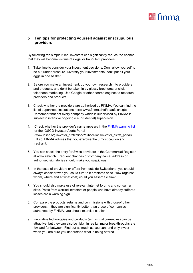

# <span id="page-17-0"></span>**5 Ten tips for protecting yourself against unscrupulous providers**

By following ten simple rules, investors can significantly reduce the chance that they will become victims of illegal or fraudulent providers:

- 1. Take time to consider your investment decisions. Don't allow yourself to be put under pressure. Diversify your investments; don't put all your eggs in one basket.
- 2. Before you make an investment, do your own research into providers and products, and don't be taken in by glossy brochures or slick telephone marketing. Use Google or other search engines to research providers and products.
- 3. Check whether the providers are authorised by FINMA. You can find the list of supervised institutions here: [www.finma.ch/d/beaufsichtigte.](http://www.finma.ch/d/beaufsichtigte) Remember that not every company which is supervised by FINMA is subject to intensive ongoing (i.e. prudential) supervision.
- 4. Check whether the provider's name appears in the [FINMA warning list](https://www.finma.ch/en/finma-public/warnliste/) or the IOSCO Investor Alerts Portal [\(www.iosco.org/investor\\_protection/?subsection=investor\\_alerts\\_portal\)](http://www.iosco.org/investor_protection/?subsection=investor_alerts_portal)) . If so, FINMA advises that you exercise the utmost caution and restraint.
- 5. You can check the entry for Swiss providers in the Commercial Register at [www.zefix.ch. F](http://www.zefix.ch/)requent changes of company name, address or authorised signatories should make you suspicious.
- 6. In the case of providers or offers from outside Switzerland, you should always consider who you could turn to if problems arise. How (against whom, where and at what cost) could you assert a claim?
- 7. You should also make use of relevant internet forums and consumer sites. Posts from worried investors or people who have already suffered losses are a warning sign.
- 8. Compare the products, returns and commissions with thoseof other providers. If they are significantly better than those of companies authorised by FINMA, you should exercise caution.
- 9. Innovative technologies and products (e.g. virtual currencies) can be attractive, but they can also be risky. In reality, major breakthroughs are few and far between. Find out as much as you can, and only invest when you are sure you understand what is being offered.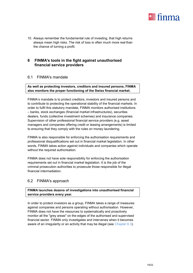

10. Always remember the fundamental rule of investing, that high returns always mean high risks. The risk of loss is often much more real than the chance of turning a profit.

# <span id="page-18-0"></span>**6 FINMA's tools in the fight against unauthorised financial service providers**

# <span id="page-18-1"></span>6.1 FINMA's mandate

# **As well as protecting investors, creditors and insured persons, FINMA also monitors the proper functioning of the Swiss financial market.**

FINMA's mandate is to protect creditors, investors and insured persons and to contribute to protecting the operational stability of the financial markets. In order to fulfil this statutory mandate, FINMA monitors authorised institutions – banks, stock exchanges (financial market infrastructures), securities dealers, funds (collective investment schemes) and insurance companies. Supervision of other professional financial service providers (e.g. asset managers and companies offering credit or leasing arrangements) is limited to ensuring that they comply with the rules on money laundering.

FINMA is also responsible for enforcing the authorisation requirements and professional disqualifications set out in financial market legislation. In other words, FINMA takes action against individuals and companies which operate without the required authorisation.

FINMA does not have sole responsibility for enforcing the authorisation requirements set out in financial market legislation. It is the job of the criminal prosecution authorities to prosecute those responsible for illegal financial intermediation.

# <span id="page-18-2"></span>6.2 FINMA's approach

**FINMA launches dozens of investigations into unauthorised financial service providers every year.**

In order to protect investors as a group, FINMA takes a range of measures against companies and persons operating without authorisation. However, FINMA does not have the resources to systematically and proactively monitor all the "grey areas" on the edges of the authorised and supervised financial sector. FINMA only investigates and intervenes when it becomes aware of an irregularity or an activity that may be illegal (see Chapter 6.3).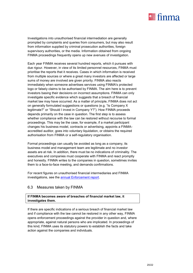

Investigations into unauthorised financial intermediation are generally prompted by complaints and queries from consumers, but may also result from information supplied by criminal prosecution authorities, foreign supervisory authorities, or the media. Information obtained from ongoing FINMA proceedings frequently opens up new avenues of investigation.

Each year FINMA receives several hundred reports, which it pursues with due rigour. However, in view of its limited personnel resources, FINMA must prioritise the reports that it receives. Cases in which information is received from multiple sources or where a great many investors are affected or large sums of money are involved are given priority. FINMA also reacts immediately when someone advertises services using FINMA's protected logo or falsely claims to be authorised by FINMA. The aim here is to prevent investors basing their decisions on incorrect assumptions. FINMA can only investigate specific evidence which suggests that a breach of financial market law may have occurred. As a matter of principle, FINMA does not act on generally formulated suggestions or questions (e.g. "Is Company X legitimate?" or "Should I invest in Company Y?"). How FINMA proceeds depends primarily on the case in question. The first step is to assess whether compliance with the law can be restored without recourse to formal proceedings. This may be the case, for example, if a market participant changes his business model, contracts or advertising, appoints a FINMAaccredited auditor, goes into voluntary liquidation, or obtains the required authorisation from FINMA or a self-regulatory organisation.

Formal proceedings can usually be avoided as long as a company, its business model and management team are legitimate and no investor assets are at risk. In addition, there must be no indications of criminality. The executives and companies must cooperate with FINMA and react promptly and honestly. FINMA writes to the companies in question, sometimes invites them to a face-to-face meeting, and demands confirmations.

For recent figures on unauthorised financial intermediaries and FINMA investigations, see the [annual Enforcement report.](https://www.finma.ch/en/documentation/finma-publications/reports/enforcement-reports/)

# 6.3 Measures taken by FINMA

# **If FINMA becomes aware of breaches of financial market law, it investigates them.**

If there are specific indications of a serious breach of financial market law and if compliance with the law cannot be restored in any other way, FINMA opens enforcement proceedings against the provider in question and, where appropriate, against natural persons who are implicated. In proceedings of this kind, FINMA uses its statutory powers to establish the facts and take action against the companies and individuals.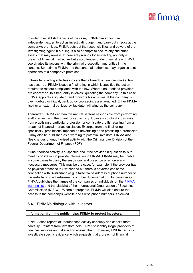

In order to establish the facts of the case, FINMA can appoint an independent expert to act as investigating agent and carry out checks at the company's premises. FINMA sets out the responsibilities and powers of the investigating agent in a ruling. It also attempts to secure any customer assets that may remain. If there are grounds for suspecting not only a breach of financial market law but also offences under criminal law, FINMA coordinates its actions with the criminal prosecution authorities in the cantons. Sometimes FINMA and the cantonal authorities may organise joint operations at a company's premises.

If these fact-finding activities indicate that a breach of financial market law has occurred, FINMA issues a final ruling in which it specifies the action required to restore compliance with the law. Where unauthorised providers are concerned, this frequently involves liquidating the company. In this case FINMA appoints a liquidator and monitors his activities. If the company is overindebted or illiquid, bankruptcy proceedings are launched. Either FINMA itself or an external bankruptcy liquidator will wind up the company.

Thereafter, FINMA can ban the natural persons responsible from performing and/or advertising the unauthorised activity. It can also prohibit individuals from practising a particular profession or confiscate profits resulting from a breach of financial market legislation. Excerpts from the final ruling – specifically, prohibitions imposed on advertising or on practising a profession – may also be published as a warning to potential investors. FINMA also files charges of unauthorised activity with the Criminal Law Division of the Federal Department of Finance (FDF).

If unauthorised activity is suspected and if the provider in question fails to meet its obligation to provide information to FINMA, FINMA may be unable in some cases to clarify the suspicions and prescribe or enforce any necessary measures. This may be the case, for example, if the provider has no physical presence in Switzerland but there is nevertheless some connection with Switzerland (e.g. a false Swiss address or phone number on the website or in advertisements or other documentation). In these cases FINMA publishes the names of the companies or individuals on the **FINMA** [warning list](https://www.finma.ch/en/finma-public/warnliste/) and the blacklist of the International Organization of Securities Commissions (IOSCO). Where appropriate, FINMA will also ensure that access to the company's website and Swiss phone numbers is blocked.

# 6.4 FINMA's dialogue with investors

# **Information from the public helps FINMA to protect investors.**

FINMA takes reports of unauthorised activity seriously and checks them carefully. Pointers from investors help FINMA to identify illegal providers of financial services and take action against them. However, FINMA can only investigate specific evidence which suggests that a breach of financial